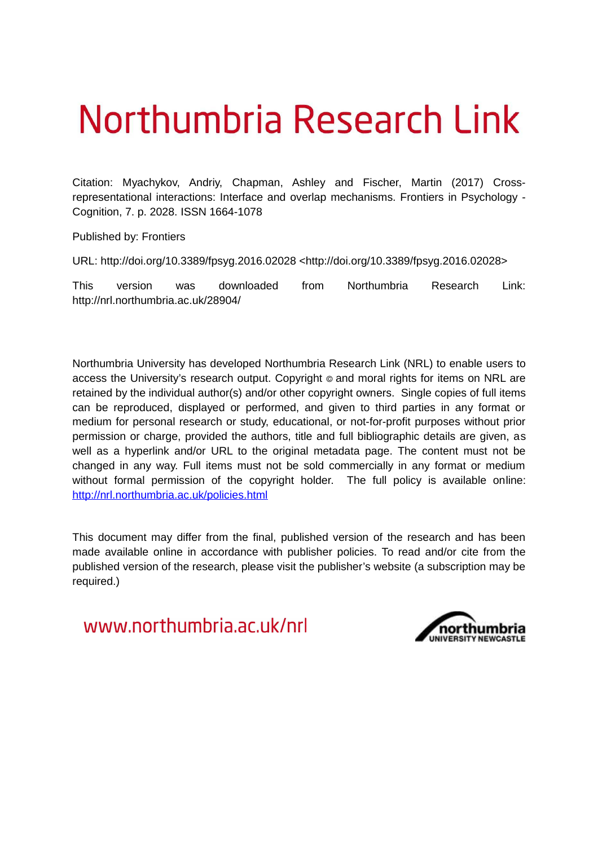# Northumbria Research Link

Citation: Myachykov, Andriy, Chapman, Ashley and Fischer, Martin (2017) Crossrepresentational interactions: Interface and overlap mechanisms. Frontiers in Psychology - Cognition, 7. p. 2028. ISSN 1664-1078

Published by: Frontiers

URL: http://doi.org/10.3389/fpsyg.2016.02028 <http://doi.org/10.3389/fpsyg.2016.02028>

This version was downloaded from Northumbria Research Link: http://nrl.northumbria.ac.uk/28904/

Northumbria University has developed Northumbria Research Link (NRL) to enable users to access the University's research output. Copyright  $\circ$  and moral rights for items on NRL are retained by the individual author(s) and/or other copyright owners. Single copies of full items can be reproduced, displayed or performed, and given to third parties in any format or medium for personal research or study, educational, or not-for-profit purposes without prior permission or charge, provided the authors, title and full bibliographic details are given, as well as a hyperlink and/or URL to the original metadata page. The content must not be changed in any way. Full items must not be sold commercially in any format or medium without formal permission of the copyright holder. The full policy is available online: <http://nrl.northumbria.ac.uk/policies.html>

This document may differ from the final, published version of the research and has been made available online in accordance with publisher policies. To read and/or cite from the published version of the research, please visit the publisher's website (a subscription may be required.)

www.northumbria.ac.uk/nrl

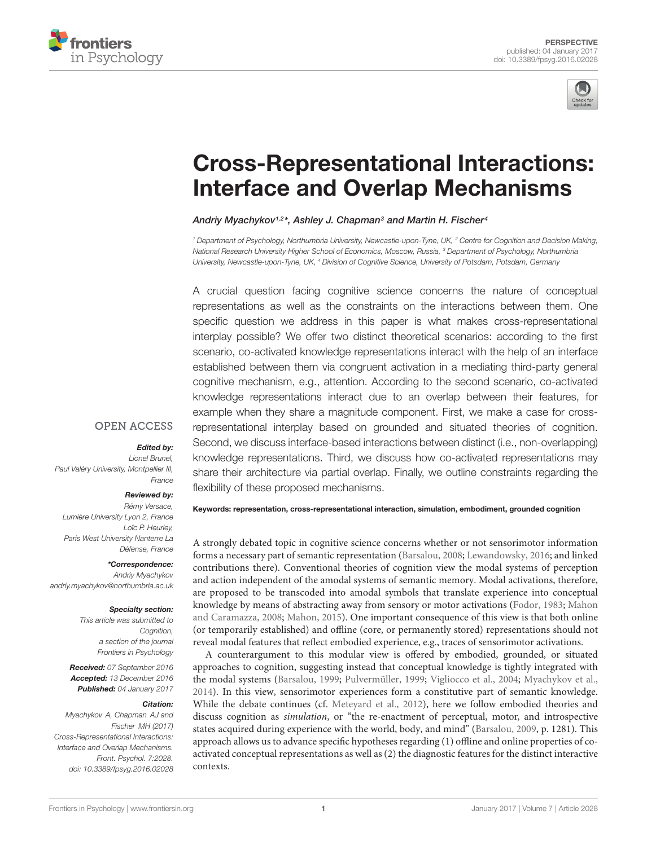



## [Cross-Representational Interactions:](http://journal.frontiersin.org/article/10.3389/fpsyg.2016.02028/abstract) Interface and Overlap Mechanisms

[Andriy Myachykov](http://loop.frontiersin.org/people/28560/overview)1,2\*, [Ashley J. Chapman](http://loop.frontiersin.org/people/188543/overview)<sup>3</sup> and [Martin H. Fischer](http://loop.frontiersin.org/people/10621/overview)<sup>4</sup>

<sup>1</sup> Department of Psychology, Northumbria University, Newcastle-upon-Tyne, UK, <sup>2</sup> Centre for Cognition and Decision Making, National Research University Higher School of Economics, Moscow, Russia, <sup>3</sup> Department of Psychology, Northumbria University, Newcastle-upon-Tyne, UK, <sup>4</sup> Division of Cognitive Science, University of Potsdam, Potsdam, Germany

A crucial question facing cognitive science concerns the nature of conceptual representations as well as the constraints on the interactions between them. One specific question we address in this paper is what makes cross-representational interplay possible? We offer two distinct theoretical scenarios: according to the first scenario, co-activated knowledge representations interact with the help of an interface established between them via congruent activation in a mediating third-party general cognitive mechanism, e.g., attention. According to the second scenario, co-activated knowledge representations interact due to an overlap between their features, for example when they share a magnitude component. First, we make a case for crossrepresentational interplay based on grounded and situated theories of cognition. Second, we discuss interface-based interactions between distinct (i.e., non-overlapping) knowledge representations. Third, we discuss how co-activated representations may share their architecture via partial overlap. Finally, we outline constraints regarding the flexibility of these proposed mechanisms.

#### **OPEN ACCESS**

#### Edited by:

Lionel Brunel, Paul Valéry University, Montpellier III, France

#### Reviewed by:

Rémy Versace, Lumière University Lyon 2, France Loïc P. Heurley, Paris West University Nanterre La Défense, France

\*Correspondence: Andriy Myachykov andriy.myachykov@northumbria.ac.uk

#### Specialty section:

This article was submitted to Cognition, a section of the journal Frontiers in Psychology

Received: 07 September 2016 Accepted: 13 December 2016 Published: 04 January 2017

#### Citation:

<span id="page-1-0"></span>Myachykov A, Chapman AJ and Fischer MH (2017) Cross-Representational Interactions: Interface and Overlap Mechanisms. Front. Psychol. 7:2028. doi: [10.3389/fpsyg.2016.02028](https://doi.org/10.3389/fpsyg.2016.02028)

Keywords: representation, cross-representational interaction, simulation, embodiment, grounded cognition

A strongly debated topic in cognitive science concerns whether or not sensorimotor information forms a necessary part of semantic representation [\(Barsalou, 2008;](#page-4-0) [Lewandowsky, 2016;](#page-5-0) and linked contributions there). Conventional theories of cognition view the modal systems of perception and action independent of the amodal systems of semantic memory. Modal activations, therefore, are proposed to be transcoded into amodal symbols that translate experience into conceptual knowledge by means of abstracting away from sensory or motor activations [\(Fodor, 1983;](#page-4-1) [Mahon](#page-5-1) [and Caramazza, 2008;](#page-5-1) [Mahon, 2015\)](#page-5-2). One important consequence of this view is that both online (or temporarily established) and offline (core, or permanently stored) representations should not reveal modal features that reflect embodied experience, e.g., traces of sensorimotor activations.

A counterargument to this modular view is offered by embodied, grounded, or situated approaches to cognition, suggesting instead that conceptual knowledge is tightly integrated with the modal systems [\(Barsalou, 1999;](#page-4-2) [Pulvermüller, 1999;](#page-5-3) [Vigliocco et al., 2004;](#page-6-0) [Myachykov et al.,](#page-5-4) [2014\)](#page-5-4). In this view, sensorimotor experiences form a constitutive part of semantic knowledge. While the debate continues (cf. [Meteyard et al., 2012\)](#page-5-5), here we follow embodied theories and discuss cognition as simulation, or "the re-enactment of perceptual, motor, and introspective states acquired during experience with the world, body, and mind" [\(Barsalou, 2009,](#page-4-3) p. 1281). This approach allows us to advance specific hypotheses regarding (1) offline and online properties of coactivated conceptual representations as well as (2) the diagnostic features for the distinct interactive contexts.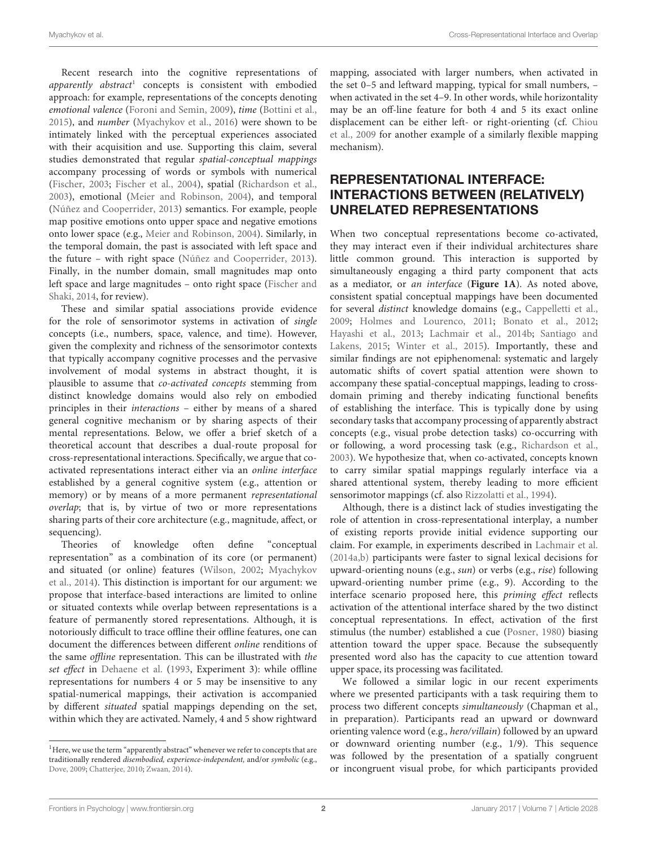Recent research into the cognitive representations of apparently abstract<sup>[1](#page-1-0)</sup> concepts is consistent with embodied approach: for example, representations of the concepts denoting emotional valence [\(Foroni and Semin, 2009\)](#page-4-4), time [\(Bottini et al.,](#page-4-5) [2015\)](#page-4-5), and number [\(Myachykov et al., 2016\)](#page-5-6) were shown to be intimately linked with the perceptual experiences associated with their acquisition and use. Supporting this claim, several studies demonstrated that regular spatial-conceptual mappings accompany processing of words or symbols with numerical [\(Fischer, 2003;](#page-4-6) [Fischer et al., 2004\)](#page-4-7), spatial [\(Richardson et al.,](#page-5-7) [2003\)](#page-5-7), emotional [\(Meier and Robinson, 2004\)](#page-5-8), and temporal [\(Núñez and Cooperrider, 2013\)](#page-5-9) semantics. For example, people map positive emotions onto upper space and negative emotions onto lower space (e.g., [Meier and Robinson, 2004\)](#page-5-8). Similarly, in the temporal domain, the past is associated with left space and the future – with right space [\(Núñez and Cooperrider, 2013\)](#page-5-9). Finally, in the number domain, small magnitudes map onto left space and large magnitudes – onto right space [\(Fischer and](#page-4-8) [Shaki, 2014,](#page-4-8) for review).

<span id="page-2-0"></span>These and similar spatial associations provide evidence for the role of sensorimotor systems in activation of single concepts (i.e., numbers, space, valence, and time). However, given the complexity and richness of the sensorimotor contexts that typically accompany cognitive processes and the pervasive involvement of modal systems in abstract thought, it is plausible to assume that co-activated concepts stemming from distinct knowledge domains would also rely on embodied principles in their interactions – either by means of a shared general cognitive mechanism or by sharing aspects of their mental representations. Below, we offer a brief sketch of a theoretical account that describes a dual-route proposal for cross-representational interactions. Specifically, we argue that coactivated representations interact either via an online interface established by a general cognitive system (e.g., attention or memory) or by means of a more permanent representational overlap; that is, by virtue of two or more representations sharing parts of their core architecture (e.g., magnitude, affect, or sequencing).

Theories of knowledge often define "conceptual representation" as a combination of its core (or permanent) and situated (or online) features [\(Wilson, 2002;](#page-6-1) [Myachykov](#page-5-4) [et al., 2014\)](#page-5-4). This distinction is important for our argument: we propose that interface-based interactions are limited to online or situated contexts while overlap between representations is a feature of permanently stored representations. Although, it is notoriously difficult to trace offline their offline features, one can document the differences between different online renditions of the same offline representation. This can be illustrated with the set effect in [Dehaene et al.](#page-4-9) [\(1993,](#page-4-9) Experiment 3): while offline representations for numbers 4 or 5 may be insensitive to any spatial-numerical mappings, their activation is accompanied by different situated spatial mappings depending on the set, within which they are activated. Namely, 4 and 5 show rightward

mapping, associated with larger numbers, when activated in the set 0–5 and leftward mapping, typical for small numbers, – when activated in the set 4–9. In other words, while horizontality may be an off-line feature for both 4 and 5 its exact online displacement can be either left- or right-orienting (cf. [Chiou](#page-4-12) [et al., 2009](#page-4-12) for another example of a similarly flexible mapping mechanism).

## REPRESENTATIONAL INTERFACE: INTERACTIONS BETWEEN (RELATIVELY) UNRELATED REPRESENTATIONS

When two conceptual representations become co-activated, they may interact even if their individual architectures share little common ground. This interaction is supported by simultaneously engaging a third party component that acts as a mediator, or an interface (**[Figure 1A](#page-2-0)**). As noted above, consistent spatial conceptual mappings have been documented for several distinct knowledge domains (e.g., [Cappelletti et al.,](#page-4-13) [2009;](#page-4-13) [Holmes and Lourenco, 2011;](#page-5-10) [Bonato et al., 2012;](#page-4-14) [Hayashi et al., 2013;](#page-5-11) [Lachmair et al., 2014b;](#page-5-12) [Santiago and](#page-5-13) [Lakens, 2015;](#page-5-13) [Winter et al., 2015\)](#page-6-3). Importantly, these and similar findings are not epiphenomenal: systematic and largely automatic shifts of covert spatial attention were shown to accompany these spatial-conceptual mappings, leading to crossdomain priming and thereby indicating functional benefits of establishing the interface. This is typically done by using secondary tasks that accompany processing of apparently abstract concepts (e.g., visual probe detection tasks) co-occurring with or following, a word processing task (e.g., [Richardson et al.,](#page-5-7) [2003\)](#page-5-7). We hypothesize that, when co-activated, concepts known to carry similar spatial mappings regularly interface via a shared attentional system, thereby leading to more efficient sensorimotor mappings (cf. also [Rizzolatti et al., 1994\)](#page-5-14).

Although, there is a distinct lack of studies investigating the role of attention in cross-representational interplay, a number of existing reports provide initial evidence supporting our claim. For example, in experiments described in [Lachmair et al.](#page-5-15) [\(2014a,](#page-5-15)[b\)](#page-5-12) participants were faster to signal lexical decisions for upward-orienting nouns (e.g., sun) or verbs (e.g., rise) following upward-orienting number prime (e.g., 9). According to the interface scenario proposed here, this priming effect reflects activation of the attentional interface shared by the two distinct conceptual representations. In effect, activation of the first stimulus (the number) established a cue [\(Posner, 1980\)](#page-5-16) biasing attention toward the upper space. Because the subsequently presented word also has the capacity to cue attention toward upper space, its processing was facilitated.

We followed a similar logic in our recent experiments where we presented participants with a task requiring them to process two different concepts simultaneously (Chapman et al., in preparation). Participants read an upward or downward orienting valence word (e.g., hero/villain) followed by an upward or downward orienting number (e.g., 1/9). This sequence was followed by the presentation of a spatially congruent or incongruent visual probe, for which participants provided

 $^{\rm l}$  Here, we use the term "apparently abstract" whenever we refer to concepts that are traditionally rendered disembodied, experience-independent, and/or symbolic (e.g., [Dove, 2009;](#page-4-10) [Chatterjee, 2010;](#page-4-11) [Zwaan, 2014\)](#page-6-2).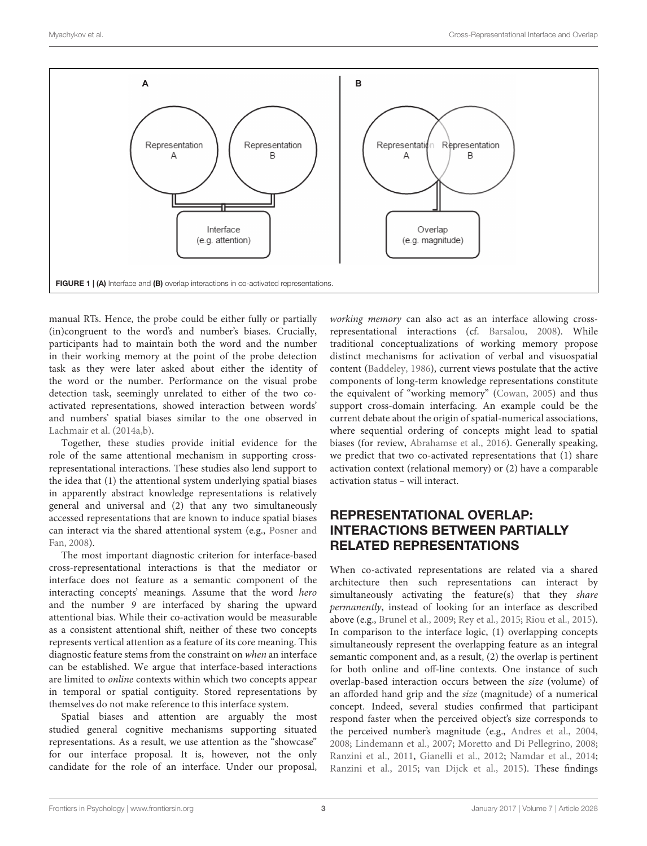

manual RTs. Hence, the probe could be either fully or partially (in)congruent to the word's and number's biases. Crucially, participants had to maintain both the word and the number in their working memory at the point of the probe detection task as they were later asked about either the identity of the word or the number. Performance on the visual probe detection task, seemingly unrelated to either of the two coactivated representations, showed interaction between words' and numbers' spatial biases similar to the one observed in [Lachmair et al. \(2014a](#page-5-15)[,b\)](#page-5-12).

Together, these studies provide initial evidence for the role of the same attentional mechanism in supporting crossrepresentational interactions. These studies also lend support to the idea that (1) the attentional system underlying spatial biases in apparently abstract knowledge representations is relatively general and universal and (2) that any two simultaneously accessed representations that are known to induce spatial biases can interact via the shared attentional system (e.g., [Posner and](#page-5-17) [Fan, 2008\)](#page-5-17).

The most important diagnostic criterion for interface-based cross-representational interactions is that the mediator or interface does not feature as a semantic component of the interacting concepts' meanings. Assume that the word hero and the number 9 are interfaced by sharing the upward attentional bias. While their co-activation would be measurable as a consistent attentional shift, neither of these two concepts represents vertical attention as a feature of its core meaning. This diagnostic feature stems from the constraint on when an interface can be established. We argue that interface-based interactions are limited to online contexts within which two concepts appear in temporal or spatial contiguity. Stored representations by themselves do not make reference to this interface system.

Spatial biases and attention are arguably the most studied general cognitive mechanisms supporting situated representations. As a result, we use attention as the "showcase" for our interface proposal. It is, however, not the only candidate for the role of an interface. Under our proposal,

working memory can also act as an interface allowing crossrepresentational interactions (cf. [Barsalou, 2008\)](#page-4-0). While traditional conceptualizations of working memory propose distinct mechanisms for activation of verbal and visuospatial content [\(Baddeley, 1986\)](#page-4-15), current views postulate that the active components of long-term knowledge representations constitute the equivalent of "working memory" [\(Cowan, 2005\)](#page-4-16) and thus support cross-domain interfacing. An example could be the current debate about the origin of spatial-numerical associations, where sequential ordering of concepts might lead to spatial biases (for review, [Abrahamse et al., 2016\)](#page-4-17). Generally speaking, we predict that two co-activated representations that (1) share activation context (relational memory) or (2) have a comparable activation status – will interact.

## REPRESENTATIONAL OVERLAP: INTERACTIONS BETWEEN PARTIALLY RELATED REPRESENTATIONS

When co-activated representations are related via a shared architecture then such representations can interact by simultaneously activating the feature(s) that they *share* permanently, instead of looking for an interface as described above (e.g., [Brunel et al., 2009;](#page-4-18) [Rey et al., 2015;](#page-5-18) [Riou et al., 2015\)](#page-5-19). In comparison to the interface logic, (1) overlapping concepts simultaneously represent the overlapping feature as an integral semantic component and, as a result, (2) the overlap is pertinent for both online and off-line contexts. One instance of such overlap-based interaction occurs between the size (volume) of an afforded hand grip and the size (magnitude) of a numerical concept. Indeed, several studies confirmed that participant respond faster when the perceived object's size corresponds to the perceived number's magnitude (e.g., [Andres et al., 2004,](#page-4-19) [2008;](#page-4-20) [Lindemann et al., 2007;](#page-5-20) [Moretto and Di Pellegrino, 2008;](#page-5-21) [Ranzini et al., 2011,](#page-5-22) [Gianelli et al., 2012;](#page-5-23) [Namdar et al., 2014;](#page-5-24) [Ranzini et al., 2015;](#page-5-25) [van Dijck et al., 2015\)](#page-6-4). These findings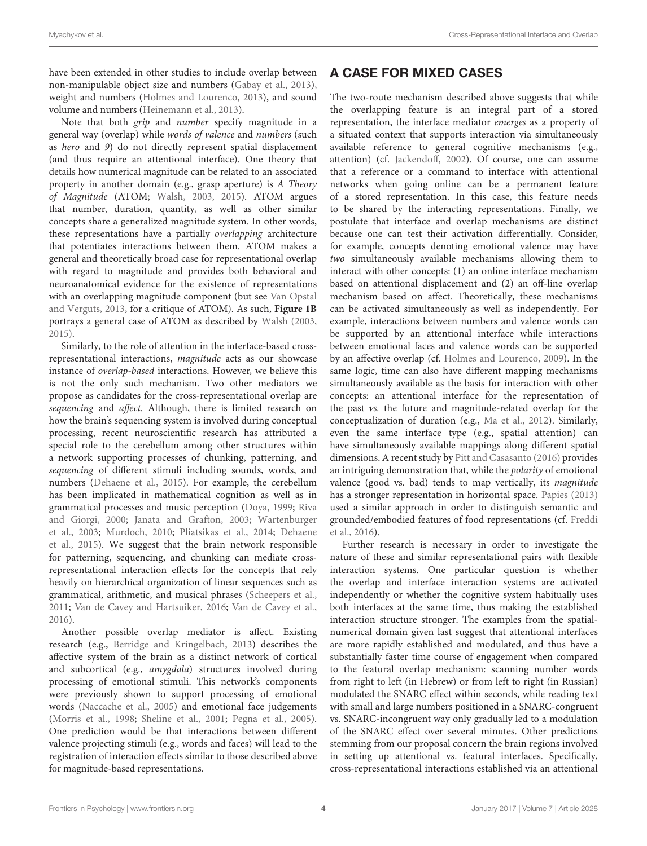have been extended in other studies to include overlap between non-manipulable object size and numbers [\(Gabay et al., 2013\)](#page-5-26), weight and numbers [\(Holmes and Lourenco, 2013\)](#page-5-27), and sound volume and numbers [\(Heinemann et al., 2013\)](#page-5-28).

Note that both grip and number specify magnitude in a general way (overlap) while words of valence and numbers (such as hero and 9) do not directly represent spatial displacement (and thus require an attentional interface). One theory that details how numerical magnitude can be related to an associated property in another domain (e.g., grasp aperture) is A Theory of Magnitude (ATOM; [Walsh, 2003,](#page-6-5) [2015\)](#page-6-6). ATOM argues that number, duration, quantity, as well as other similar concepts share a generalized magnitude system. In other words, these representations have a partially overlapping architecture that potentiates interactions between them. ATOM makes a general and theoretically broad case for representational overlap with regard to magnitude and provides both behavioral and neuroanatomical evidence for the existence of representations with an overlapping magnitude component (but see [Van Opstal](#page-6-7) [and Verguts, 2013,](#page-6-7) for a critique of ATOM). As such, **[Figure 1B](#page-2-0)** portrays a general case of ATOM as described by [Walsh \(2003,](#page-6-5) [2015\)](#page-6-6).

<span id="page-4-20"></span><span id="page-4-19"></span><span id="page-4-17"></span>Similarly, to the role of attention in the interface-based crossrepresentational interactions, magnitude acts as our showcase instance of overlap-based interactions. However, we believe this is not the only such mechanism. Two other mediators we propose as candidates for the cross-representational overlap are sequencing and affect. Although, there is limited research on how the brain's sequencing system is involved during conceptual processing, recent neuroscientific research has attributed a special role to the cerebellum among other structures within a network supporting processes of chunking, patterning, and sequencing of different stimuli including sounds, words, and numbers [\(Dehaene et al., 2015\)](#page-4-21). For example, the cerebellum has been implicated in mathematical cognition as well as in grammatical processes and music perception [\(Doya, 1999;](#page-4-22) [Riva](#page-5-29) [and Giorgi, 2000;](#page-5-29) [Janata and Grafton, 2003;](#page-5-30) [Wartenburger](#page-6-8) [et al., 2003;](#page-6-8) [Murdoch, 2010;](#page-5-31) [Pliatsikas et al., 2014;](#page-5-32) [Dehaene](#page-4-21) [et al., 2015\)](#page-4-21). We suggest that the brain network responsible for patterning, sequencing, and chunking can mediate crossrepresentational interaction effects for the concepts that rely heavily on hierarchical organization of linear sequences such as grammatical, arithmetic, and musical phrases [\(Scheepers et al.,](#page-5-33) [2011;](#page-5-33) [Van de Cavey and Hartsuiker, 2016;](#page-5-34) [Van de Cavey et al.,](#page-6-9) [2016\)](#page-6-9).

<span id="page-4-23"></span><span id="page-4-18"></span><span id="page-4-15"></span><span id="page-4-14"></span><span id="page-4-13"></span><span id="page-4-11"></span><span id="page-4-5"></span><span id="page-4-3"></span><span id="page-4-2"></span><span id="page-4-0"></span>Another possible overlap mediator is affect. Existing research (e.g., [Berridge and Kringelbach, 2013\)](#page-4-23) describes the affective system of the brain as a distinct network of cortical and subcortical (e.g., amygdala) structures involved during processing of emotional stimuli. This network's components were previously shown to support processing of emotional words [\(Naccache et al., 2005\)](#page-5-35) and emotional face judgements [\(Morris et al., 1998;](#page-5-36) [Sheline et al., 2001;](#page-5-37) [Pegna et al., 2005\)](#page-5-38). One prediction would be that interactions between different valence projecting stimuli (e.g., words and faces) will lead to the registration of interaction effects similar to those described above for magnitude-based representations.

## A CASE FOR MIXED CASES

The two-route mechanism described above suggests that while the overlapping feature is an integral part of a stored representation, the interface mediator emerges as a property of a situated context that supports interaction via simultaneously available reference to general cognitive mechanisms (e.g., attention) (cf. [Jackendoff, 2002\)](#page-5-39). Of course, one can assume that a reference or a command to interface with attentional networks when going online can be a permanent feature of a stored representation. In this case, this feature needs to be shared by the interacting representations. Finally, we postulate that interface and overlap mechanisms are distinct because one can test their activation differentially. Consider, for example, concepts denoting emotional valence may have two simultaneously available mechanisms allowing them to interact with other concepts: (1) an online interface mechanism based on attentional displacement and (2) an off-line overlap mechanism based on affect. Theoretically, these mechanisms can be activated simultaneously as well as independently. For example, interactions between numbers and valence words can be supported by an attentional interface while interactions between emotional faces and valence words can be supported by an affective overlap (cf. [Holmes and Lourenco, 2009\)](#page-5-40). In the same logic, time can also have different mapping mechanisms simultaneously available as the basis for interaction with other concepts: an attentional interface for the representation of the past vs. the future and magnitude-related overlap for the conceptualization of duration (e.g., [Ma et al., 2012\)](#page-5-41). Similarly, even the same interface type (e.g., spatial attention) can have simultaneously available mappings along different spatial dimensions. A recent study by [Pitt and Casasanto \(2016\)](#page-5-42) provides an intriguing demonstration that, while the polarity of emotional valence (good vs. bad) tends to map vertically, its magnitude has a stronger representation in horizontal space. [Papies \(2013\)](#page-5-43) used a similar approach in order to distinguish semantic and grounded/embodied features of food representations (cf. [Freddi](#page-4-24) [et al., 2016\)](#page-4-24).

<span id="page-4-25"></span><span id="page-4-24"></span><span id="page-4-22"></span><span id="page-4-21"></span><span id="page-4-16"></span><span id="page-4-12"></span><span id="page-4-10"></span><span id="page-4-9"></span><span id="page-4-8"></span><span id="page-4-7"></span><span id="page-4-6"></span><span id="page-4-4"></span><span id="page-4-1"></span>Further research is necessary in order to investigate the nature of these and similar representational pairs with flexible interaction systems. One particular question is whether the overlap and interface interaction systems are activated independently or whether the cognitive system habitually uses both interfaces at the same time, thus making the established interaction structure stronger. The examples from the spatialnumerical domain given last suggest that attentional interfaces are more rapidly established and modulated, and thus have a substantially faster time course of engagement when compared to the featural overlap mechanism: scanning number words from right to left (in Hebrew) or from left to right (in Russian) modulated the SNARC effect within seconds, while reading text with small and large numbers positioned in a SNARC-congruent vs. SNARC-incongruent way only gradually led to a modulation of the SNARC effect over several minutes. Other predictions stemming from our proposal concern the brain regions involved in setting up attentional vs. featural interfaces. Specifically, cross-representational interactions established via an attentional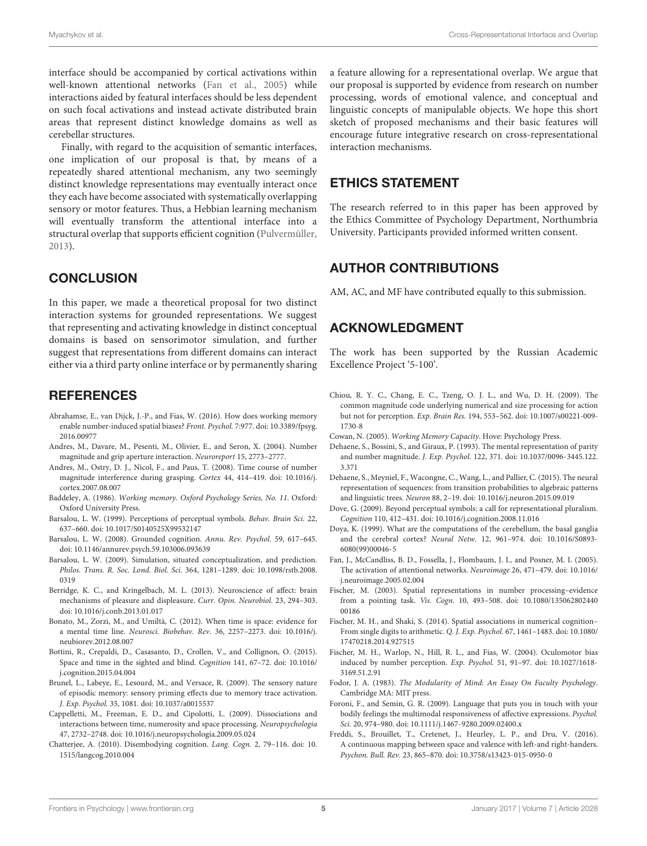<span id="page-5-26"></span><span id="page-5-23"></span>interface should be accompanied by cortical activations within well-known attentional networks [\(Fan et al., 2005\)](#page-4-25) while interactions aided by featural interfaces should be less dependent on such focal activations and instead activate distributed brain areas that represent distinct knowledge domains as well as cerebellar structures.

<span id="page-5-40"></span><span id="page-5-28"></span><span id="page-5-11"></span>Finally, with regard to the acquisition of semantic interfaces, one implication of our proposal is that, by means of a repeatedly shared attentional mechanism, any two seemingly distinct knowledge representations may eventually interact once they each have become associated with systematically overlapping sensory or motor features. Thus, a Hebbian learning mechanism will eventually transform the attentional interface into a structural overlap that supports efficient cognition [\(Pulvermüller,](#page-5-44) [2013\)](#page-5-44).

#### <span id="page-5-39"></span><span id="page-5-27"></span><span id="page-5-10"></span>**CONCLUSION**

<span id="page-5-30"></span><span id="page-5-15"></span>In this paper, we made a theoretical proposal for two distinct interaction systems for grounded representations. We suggest that representing and activating knowledge in distinct conceptual domains is based on sensorimotor simulation, and further suggest that representations from different domains can interact either via a third party online interface or by permanently sharing

#### <span id="page-5-12"></span>**REFERENCES**

- <span id="page-5-0"></span>Abrahamse, E., van Dijck, J.-P., and Fias, W. (2016). How does working memory enable number-induced spatial biases? Front. Psychol. 7:977. [doi: 10.3389/fpsyg.](https://doi.org/10.3389/fpsyg.2016.00977) [2016.00977](https://doi.org/10.3389/fpsyg.2016.00977)
- <span id="page-5-20"></span>Andres, M., Davare, M., Pesenti, M., Olivier, E., and Seron, X. (2004). Number magnitude and grip aperture interaction. Neuroreport 15, 2773–2777.
- <span id="page-5-41"></span>Andres, M., Ostry, D. J., Nicol, F., and Paus, T. (2008). Time course of number magnitude interference during grasping. Cortex 44, 414–419. [doi: 10.1016/j.](https://doi.org/10.1016/j.cortex.2007.08.007) [cortex.2007.08.007](https://doi.org/10.1016/j.cortex.2007.08.007)
- Baddeley, A. (1986). Working memory. Oxford Psychology Series, No. 11. Oxford: Oxford University Press.
- <span id="page-5-2"></span>Barsalou, L. W. (1999). Perceptions of perceptual symbols. Behav. Brain Sci. 22, 637–660. [doi: 10.1017/S0140525X99532147](https://doi.org/10.1017/S0140525X99532147)
- <span id="page-5-1"></span>Barsalou, L. W. (2008). Grounded cognition. Annu. Rev. Psychol. 59, 617–645. [doi: 10.1146/annurev.psych.59.103006.093639](https://doi.org/10.1146/annurev.psych.59.103006.093639)
- <span id="page-5-8"></span>Barsalou, L. W. (2009). Simulation, situated conceptualization, and prediction. Philos. Trans. R. Soc. Lond. Biol. Sci. 364, 1281–1289. [doi: 10.1098/rstb.2008.](https://doi.org/10.1098/rstb.2008.0319) [0319](https://doi.org/10.1098/rstb.2008.0319)
- <span id="page-5-5"></span>Berridge, K. C., and Kringelbach, M. L. (2013). Neuroscience of affect: brain mechanisms of pleasure and displeasure. Curr. Opin. Neurobiol. 23, 294–303. [doi: 10.1016/j.conb.2013.01.017](https://doi.org/10.1016/j.conb.2013.01.017)
- <span id="page-5-21"></span>Bonato, M., Zorzi, M., and Umiltà, C. (2012). When time is space: evidence for a mental time line. Neurosci. Biobehav. Rev. 36, 2257–2273. [doi: 10.1016/j.](https://doi.org/10.1016/j.neubiorev.2012.08.007) [neubiorev.2012.08.007](https://doi.org/10.1016/j.neubiorev.2012.08.007)
- <span id="page-5-36"></span>Bottini, R., Crepaldi, D., Casasanto, D., Crollen, V., and Collignon, O. (2015). Space and time in the sighted and blind. Cognition 141, 67–72. [doi: 10.1016/](https://doi.org/10.1016/j.cognition.2015.04.004) [j.cognition.2015.04.004](https://doi.org/10.1016/j.cognition.2015.04.004)
- <span id="page-5-31"></span><span id="page-5-6"></span>Brunel, L., Labeye, E., Lesourd, M., and Versace, R. (2009). The sensory nature of episodic memory: sensory priming effects due to memory trace activation. J. Exp. Psychol. 35, 1081. [doi: 10.1037/a0015537](https://doi.org/10.1037/a0015537)
- <span id="page-5-4"></span>Cappelletti, M., Freeman, E. D., and Cipolotti, L. (2009). Dissociations and interactions between time, numerosity and space processing. Neuropsychologia 47, 2732–2748. [doi: 10.1016/j.neuropsychologia.2009.05.024](https://doi.org/10.1016/j.neuropsychologia.2009.05.024)
- Chatterjee, A. (2010). Disembodying cognition. Lang. Cogn. 2, 79–116. [doi: 10.](https://doi.org/10.1515/langcog.2010.004) [1515/langcog.2010.004](https://doi.org/10.1515/langcog.2010.004)

<span id="page-5-35"></span><span id="page-5-24"></span>a feature allowing for a representational overlap. We argue that our proposal is supported by evidence from research on number processing, words of emotional valence, and conceptual and linguistic concepts of manipulable objects. We hope this short sketch of proposed mechanisms and their basic features will encourage future integrative research on cross-representational interaction mechanisms.

#### <span id="page-5-43"></span><span id="page-5-38"></span><span id="page-5-9"></span>ETHICS STATEMENT

<span id="page-5-42"></span>The research referred to in this paper has been approved by the Ethics Committee of Psychology Department, Northumbria University. Participants provided informed written consent.

### <span id="page-5-32"></span>AUTHOR CONTRIBUTIONS

<span id="page-5-17"></span><span id="page-5-16"></span>AM, AC, and MF have contributed equally to this submission.

## <span id="page-5-3"></span>ACKNOWLEDGMENT

<span id="page-5-44"></span>The work has been supported by the Russian Academic Excellence Project '5-100'.

- <span id="page-5-25"></span>Chiou, R. Y. C., Chang, E. C., Tzeng, O. J. L., and Wu, D. H. (2009). The common magnitude code underlying numerical and size processing for action but not for perception. Exp. Brain Res. 194, 553–562. [doi: 10.1007/s00221-009-](https://doi.org/10.1007/s00221-009-1730-8) [1730-8](https://doi.org/10.1007/s00221-009-1730-8)
- <span id="page-5-22"></span>Cowan, N. (2005). Working Memory Capacity. Hove: Psychology Press.
- <span id="page-5-18"></span>Dehaene, S., Bossini, S., and Giraux, P. (1993). The mental representation of parity and number magnitude. J. Exp. Psychol. 122, 371. [doi: 10.1037/0096-3445.122.](https://doi.org/10.1037/0096-3445.122.3.371) [3.371](https://doi.org/10.1037/0096-3445.122.3.371)
- <span id="page-5-7"></span>Dehaene, S., Meyniel, F., Wacongne, C., Wang, L., and Pallier, C. (2015). The neural representation of sequences: from transition probabilities to algebraic patterns and linguistic trees. Neuron 88, 2–19. [doi: 10.1016/j.neuron.2015.09.019](https://doi.org/10.1016/j.neuron.2015.09.019)
- <span id="page-5-19"></span>Dove, G. (2009). Beyond perceptual symbols: a call for representational pluralism. Cognition 110, 412–431. [doi: 10.1016/j.cognition.2008.11.016](https://doi.org/10.1016/j.cognition.2008.11.016)
- Doya, K. (1999). What are the computations of the cerebellum, the basal ganglia and the cerebral cortex? Neural Netw. 12, 961–974. [doi: 10.1016/S0893-](https://doi.org/10.1016/S0893-6080(99)00046-5) [6080\(99\)00046-5](https://doi.org/10.1016/S0893-6080(99)00046-5)
- <span id="page-5-29"></span><span id="page-5-14"></span>Fan, J., McCandliss, B. D., Fossella, J., Flombaum, J. I., and Posner, M. I. (2005). The activation of attentional networks. Neuroimage 26, 471–479. [doi: 10.1016/](https://doi.org/10.1016/j.neuroimage.2005.02.004) [j.neuroimage.2005.02.004](https://doi.org/10.1016/j.neuroimage.2005.02.004)
- <span id="page-5-13"></span>Fischer, M. (2003). Spatial representations in number processing–evidence from a pointing task. Vis. Cogn. 10, 493–508. [doi: 10.1080/135062802440](https://doi.org/10.1080/13506280244000186) [00186](https://doi.org/10.1080/13506280244000186)
- <span id="page-5-33"></span>Fischer, M. H., and Shaki, S. (2014). Spatial associations in numerical cognition– From single digits to arithmetic. Q. J. Exp. Psychol. 67, 1461–1483. [doi: 10.1080/](https://doi.org/10.1080/17470218.2014.927515) [17470218.2014.927515](https://doi.org/10.1080/17470218.2014.927515)
- Fischer, M. H., Warlop, N., Hill, R. L., and Fias, W. (2004). Oculomotor bias induced by number perception. Exp. Psychol. 51, 91–97. [doi: 10.1027/1618-](https://doi.org/10.1027/1618-3169.51.2.91) [3169.51.2.91](https://doi.org/10.1027/1618-3169.51.2.91)
- <span id="page-5-37"></span>Fodor, J. A. (1983). The Modularity of Mind: An Essay On Faculty Psychology. Cambridge MA: MIT press.
- <span id="page-5-34"></span>Foroni, F., and Semin, G. R. (2009). Language that puts you in touch with your bodily feelings the multimodal responsiveness of affective expressions. Psychol. Sci. 20, 974–980. [doi: 10.1111/j.1467-9280.2009.02400.x](https://doi.org/10.1111/j.1467-9280.2009.02400.x)
- Freddi, S., Brouillet, T., Cretenet, J., Heurley, L. P., and Dru, V. (2016). A continuous mapping between space and valence with left-and right-handers. Psychon. Bull. Rev. 23, 865–870. [doi: 10.3758/s13423-015-0950-0](https://doi.org/10.3758/s13423-015-0950-0)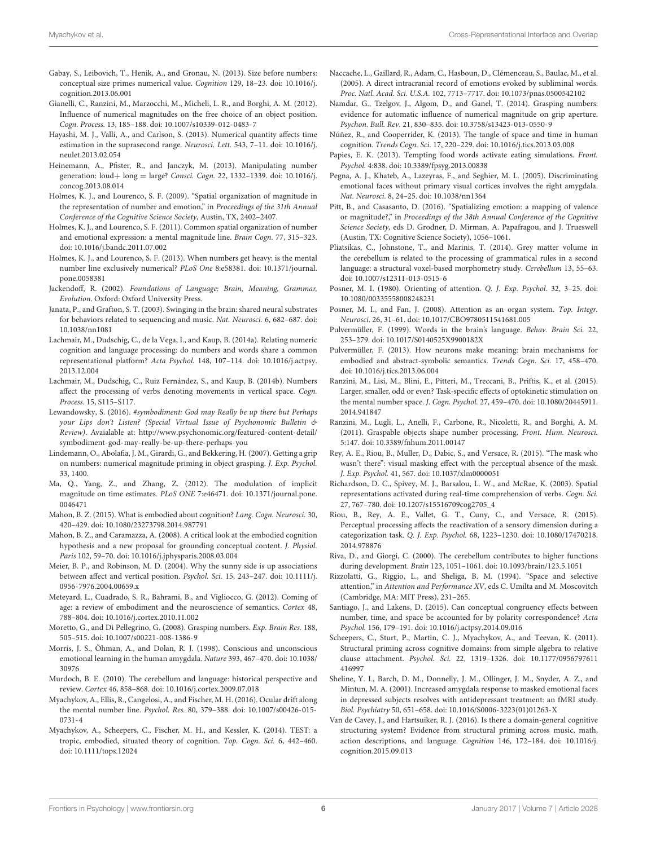- <span id="page-6-9"></span>Gabay, S., Leibovich, T., Henik, A., and Gronau, N. (2013). Size before numbers: conceptual size primes numerical value. Cognition 129, 18–23. [doi: 10.1016/j.](https://doi.org/10.1016/j.cognition.2013.06.001) [cognition.2013.06.001](https://doi.org/10.1016/j.cognition.2013.06.001)
- <span id="page-6-4"></span>Gianelli, C., Ranzini, M., Marzocchi, M., Micheli, L. R., and Borghi, A. M. (2012). Influence of numerical magnitudes on the free choice of an object position. Cogn. Process. 13, 185–188. [doi: 10.1007/s10339-012-0483-7](https://doi.org/10.1007/s10339-012-0483-7)
- Hayashi, M. J., Valli, A., and Carlson, S. (2013). Numerical quantity affects time estimation in the suprasecond range. Neurosci. Lett. 543, 7–11. [doi: 10.1016/j.](https://doi.org/10.1016/j.neulet.2013.02.054) [neulet.2013.02.054](https://doi.org/10.1016/j.neulet.2013.02.054)
- <span id="page-6-7"></span>Heinemann, A., Pfister, R., and Janczyk, M. (2013). Manipulating number generation: loud+ long = large? Consci. Cogn. 22, 1332–1339. [doi: 10.1016/j.](https://doi.org/10.1016/j.concog.2013.08.014) [concog.2013.08.014](https://doi.org/10.1016/j.concog.2013.08.014)
- <span id="page-6-0"></span>Holmes, K. J., and Lourenco, S. F. (2009). "Spatial organization of magnitude in the representation of number and emotion," in Proceedings of the 31th Annual Conference of the Cognitive Science Society, Austin, TX, 2402–2407.
- <span id="page-6-5"></span>Holmes, K. J., and Lourenco, S. F. (2011). Common spatial organization of number and emotional expression: a mental magnitude line. Brain Cogn. 77, 315–323. [doi: 10.1016/j.bandc.2011.07.002](https://doi.org/10.1016/j.bandc.2011.07.002)
- <span id="page-6-6"></span>Holmes, K. J., and Lourenco, S. F. (2013). When numbers get heavy: is the mental number line exclusively numerical? PLoS One 8:e58381. [doi: 10.1371/journal.](https://doi.org/10.1371/journal.pone.0058381) [pone.0058381](https://doi.org/10.1371/journal.pone.0058381)
- Jackendoff, R. (2002). Foundations of Language: Brain, Meaning, Grammar, Evolution. Oxford: Oxford University Press.
- Janata, P., and Grafton, S. T. (2003). Swinging in the brain: shared neural substrates for behaviors related to sequencing and music. Nat. Neurosci. 6, 682–687. [doi:](https://doi.org/10.1038/nn1081) [10.1038/nn1081](https://doi.org/10.1038/nn1081)
- Lachmair, M., Dudschig, C., de la Vega, I., and Kaup, B. (2014a). Relating numeric cognition and language processing: do numbers and words share a common representational platform? Acta Psychol. 148, 107–114. [doi: 10.1016/j.actpsy.](https://doi.org/10.1016/j.actpsy.2013.12.004) [2013.12.004](https://doi.org/10.1016/j.actpsy.2013.12.004)
- Lachmair, M., Dudschig, C., Ruiz Fernández, S., and Kaup, B. (2014b). Numbers affect the processing of verbs denoting movements in vertical space. Cogn. Process. 15, S115–S117.
- Lewandowsky, S. (2016). #symbodiment: God may Really be up there but Perhaps your Lips don't Listen? (Special Virtual Issue of Psychonomic Bulletin & Review). Avaialable at: [http://www.psychonomic.org/featured-content-detail/](http://www.psychonomic.org/featured-content-detail/symbodiment-god-may-really-be-up-there-perhaps-you) [symbodiment-god-may-really-be-up-there-perhaps-you](http://www.psychonomic.org/featured-content-detail/symbodiment-god-may-really-be-up-there-perhaps-you)
- Lindemann, O., Abolafia, J. M., Girardi, G., and Bekkering, H. (2007). Getting a grip on numbers: numerical magnitude priming in object grasping. J. Exp. Psychol. 33, 1400.
- Ma, Q., Yang, Z., and Zhang, Z. (2012). The modulation of implicit magnitude on time estimates. PLoS ONE 7:e46471. [doi: 10.1371/journal.pone.](https://doi.org/10.1371/journal.pone.0046471) [0046471](https://doi.org/10.1371/journal.pone.0046471)
- Mahon, B. Z. (2015). What is embodied about cognition? Lang. Cogn. Neurosci. 30, 420–429. [doi: 10.1080/23273798.2014.987791](https://doi.org/10.1080/23273798.2014.987791)
- Mahon, B. Z., and Caramazza, A. (2008). A critical look at the embodied cognition hypothesis and a new proposal for grounding conceptual content. J. Physiol. Paris 102, 59–70. [doi: 10.1016/j.jphysparis.2008.03.004](https://doi.org/10.1016/j.jphysparis.2008.03.004)
- Meier, B. P., and Robinson, M. D. (2004). Why the sunny side is up associations between affect and vertical position. Psychol. Sci. 15, 243–247. [doi: 10.1111/j.](https://doi.org/10.1111/j.0956-7976.2004.00659.x) [0956-7976.2004.00659.x](https://doi.org/10.1111/j.0956-7976.2004.00659.x)
- Meteyard, L., Cuadrado, S. R., Bahrami, B., and Vigliocco, G. (2012). Coming of age: a review of embodiment and the neuroscience of semantics. Cortex 48, 788–804. [doi: 10.1016/j.cortex.2010.11.002](https://doi.org/10.1016/j.cortex.2010.11.002)
- Moretto, G., and Di Pellegrino, G. (2008). Grasping numbers. Exp. Brain Res. 188, 505–515. [doi: 10.1007/s00221-008-1386-9](https://doi.org/10.1007/s00221-008-1386-9)
- Morris, J. S., Öhman, A., and Dolan, R. J. (1998). Conscious and unconscious emotional learning in the human amygdala. Nature 393, 467–470. [doi: 10.1038/](https://doi.org/10.1038/30976) [30976](https://doi.org/10.1038/30976)
- Murdoch, B. E. (2010). The cerebellum and language: historical perspective and review. Cortex 46, 858–868. [doi: 10.1016/j.cortex.2009.07.018](https://doi.org/10.1016/j.cortex.2009.07.018)
- Myachykov, A., Ellis, R., Cangelosi, A., and Fischer, M. H. (2016). Ocular drift along the mental number line. Psychol. Res. 80, 379–388. [doi: 10.1007/s00426-015-](https://doi.org/10.1007/s00426-015-0731-4) [0731-4](https://doi.org/10.1007/s00426-015-0731-4)
- Myachykov, A., Scheepers, C., Fischer, M. H., and Kessler, K. (2014). TEST: a tropic, embodied, situated theory of cognition. Top. Cogn. Sci. 6, 442–460. [doi: 10.1111/tops.12024](https://doi.org/10.1111/tops.12024)
- <span id="page-6-8"></span>Naccache, L., Gaillard, R., Adam, C., Hasboun, D., Clémenceau, S., Baulac, M., et al. (2005). A direct intracranial record of emotions evoked by subliminal words. Proc. Natl. Acad. Sci. U.S.A. 102, 7713–7717. [doi: 10.1073/pnas.0500542102](https://doi.org/10.1073/pnas.0500542102)
- <span id="page-6-1"></span>Namdar, G., Tzelgov, J., Algom, D., and Ganel, T. (2014). Grasping numbers: evidence for automatic influence of numerical magnitude on grip aperture. Psychon. Bull. Rev. 21, 830–835. [doi: 10.3758/s13423-013-0550-9](https://doi.org/10.3758/s13423-013-0550-9)
- <span id="page-6-3"></span>Núñez, R., and Cooperrider, K. (2013). The tangle of space and time in human cognition. Trends Cogn. Sci. 17, 220–229. [doi: 10.1016/j.tics.2013.03.008](https://doi.org/10.1016/j.tics.2013.03.008)
- <span id="page-6-2"></span>Papies, E. K. (2013). Tempting food words activate eating simulations. Front. Psychol. 4:838. [doi: 10.3389/fpsyg.2013.00838](https://doi.org/10.3389/fpsyg.2013.00838)
- Pegna, A. J., Khateb, A., Lazeyras, F., and Seghier, M. L. (2005). Discriminating emotional faces without primary visual cortices involves the right amygdala. Nat. Neurosci. 8, 24–25. [doi: 10.1038/nn1364](https://doi.org/10.1038/nn1364)
- Pitt, B., and Casasanto, D. (2016). "Spatializing emotion: a mapping of valence or magnitude?," in Proceedings of the 38th Annual Conference of the Cognitive Science Society, eds D. Grodner, D. Mirman, A. Papafragou, and J. Trueswell (Austin, TX: Cognitive Science Society), 1056–1061.
- Pliatsikas, C., Johnstone, T., and Marinis, T. (2014). Grey matter volume in the cerebellum is related to the processing of grammatical rules in a second language: a structural voxel-based morphometry study. Cerebellum 13, 55–63. [doi: 10.1007/s12311-013-0515-6](https://doi.org/10.1007/s12311-013-0515-6)
- Posner, M. I. (1980). Orienting of attention. Q. J. Exp. Psychol. 32, 3–25. [doi:](https://doi.org/10.1080/00335558008248231) [10.1080/00335558008248231](https://doi.org/10.1080/00335558008248231)
- Posner, M. I., and Fan, J. (2008). Attention as an organ system. Top. Integr. Neurosci. 26, 31–61. [doi: 10.1017/CBO9780511541681.005](https://doi.org/10.1017/CBO9780511541681.005)
- Pulvermüller, F. (1999). Words in the brain's language. Behav. Brain Sci. 22, 253–279. [doi: 10.1017/S0140525X9900182X](https://doi.org/10.1017/S0140525X9900182X)
- Pulvermüller, F. (2013). How neurons make meaning: brain mechanisms for embodied and abstract-symbolic semantics. Trends Cogn. Sci. 17, 458–470. [doi: 10.1016/j.tics.2013.06.004](https://doi.org/10.1016/j.tics.2013.06.004)
- Ranzini, M., Lisi, M., Blini, E., Pitteri, M., Treccani, B., Priftis, K., et al. (2015). Larger, smaller, odd or even? Task-specific effects of optokinetic stimulation on the mental number space. J. Cogn. Psychol. 27, 459–470. [doi: 10.1080/20445911.](https://doi.org/10.1080/20445911.2014.941847) [2014.941847](https://doi.org/10.1080/20445911.2014.941847)
- Ranzini, M., Lugli, L., Anelli, F., Carbone, R., Nicoletti, R., and Borghi, A. M. (2011). Graspable objects shape number processing. Front. Hum. Neurosci. 5:147. [doi: 10.3389/fnhum.2011.00147](https://doi.org/10.3389/fnhum.2011.00147)
- Rey, A. E., Riou, B., Muller, D., Dabic, S., and Versace, R. (2015). "The mask who wasn't there": visual masking effect with the perceptual absence of the mask. J. Exp. Psychol. 41, 567. [doi: 10.1037/xlm0000051](https://doi.org/10.1037/xlm0000051)
- Richardson, D. C., Spivey, M. J., Barsalou, L. W., and McRae, K. (2003). Spatial representations activated during real-time comprehension of verbs. Cogn. Sci. 27, 767–780. [doi: 10.1207/s15516709cog2705\\_4](https://doi.org/10.1207/s15516709cog2705_4)
- Riou, B., Rey, A. E., Vallet, G. T., Cuny, C., and Versace, R. (2015). Perceptual processing affects the reactivation of a sensory dimension during a categorization task. Q. J. Exp. Psychol. 68, 1223–1230. [doi: 10.1080/17470218.](https://doi.org/10.1080/17470218.2014.978876) [2014.978876](https://doi.org/10.1080/17470218.2014.978876)
- Riva, D., and Giorgi, C. (2000). The cerebellum contributes to higher functions during development. Brain 123, 1051–1061. [doi: 10.1093/brain/123.5.1051](https://doi.org/10.1093/brain/123.5.1051)
- Rizzolatti, G., Riggio, L., and Sheliga, B. M. (1994). "Space and selective attention," in Attention and Performance XV, eds C. Umilta and M. Moscovitch (Cambridge, MA: MIT Press), 231–265.
- Santiago, J., and Lakens, D. (2015). Can conceptual congruency effects between number, time, and space be accounted for by polarity correspondence? Acta Psychol. 156, 179–191. [doi: 10.1016/j.actpsy.2014.09.016](https://doi.org/10.1016/j.actpsy.2014.09.016)
- Scheepers, C., Sturt, P., Martin, C. J., Myachykov, A., and Teevan, K. (2011). Structural priming across cognitive domains: from simple algebra to relative clause attachment. Psychol. Sci. 22, 1319–1326. [doi: 10.1177/0956797611](https://doi.org/10.1177/0956797611416997) [416997](https://doi.org/10.1177/0956797611416997)
- Sheline, Y. I., Barch, D. M., Donnelly, J. M., Ollinger, J. M., Snyder, A. Z., and Mintun, M. A. (2001). Increased amygdala response to masked emotional faces in depressed subjects resolves with antidepressant treatment: an fMRI study. Biol. Psychiatry 50, 651–658. [doi: 10.1016/S0006-3223\(01\)01263-X](https://doi.org/10.1016/S0006-3223(01)01263-X)
- Van de Cavey, J., and Hartsuiker, R. J. (2016). Is there a domain-general cognitive structuring system? Evidence from structural priming across music, math, action descriptions, and language. Cognition 146, 172–184. [doi: 10.1016/j.](https://doi.org/10.1016/j.cognition.2015.09.013) [cognition.2015.09.013](https://doi.org/10.1016/j.cognition.2015.09.013)